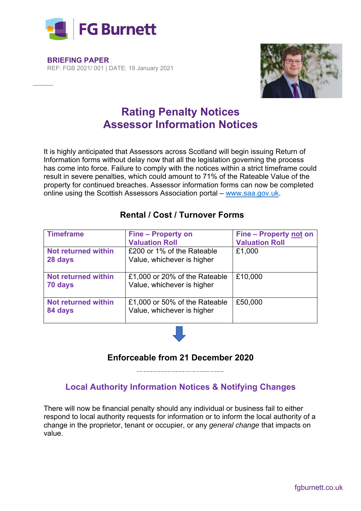

**BRIEFING PAPER** REF: FGB 2021/ 001 | DATE: 19 January 2021



# **Rating Penalty Notices Assessor Information Notices**

It is highly anticipated that Assessors across Scotland will begin issuing Return of Information forms without delay now that all the legislation governing the process has come into force. Failure to comply with the notices within a strict timeframe could result in severe penalties, which could amount to 71% of the Rateable Value of the property for continued breaches. Assessor information forms can now be completed online using the Scottish Assessors Association portal – www.saa.gov.uk.

| <b>Timeframe</b>                      | <b>Fine – Property on</b>                                   | Fine - Property not on |
|---------------------------------------|-------------------------------------------------------------|------------------------|
|                                       | <b>Valuation Roll</b>                                       | <b>Valuation Roll</b>  |
| <b>Not returned within</b><br>28 days | £200 or 1% of the Rateable<br>Value, whichever is higher    | £1,000                 |
| Not returned within<br>70 days        | £1,000 or 20% of the Rateable<br>Value, whichever is higher | £10,000                |
| <b>Not returned within</b><br>84 days | £1,000 or 50% of the Rateable<br>Value, whichever is higher | £50,000                |

#### **Rental / Cost / Turnover Forms**

#### **Enforceable from 21 December 2020**

**Local Authority Information Notices & Notifying Changes** 

There will now be financial penalty should any individual or business fail to either respond to local authority requests for information or to inform the local authority of a change in the proprietor, tenant or occupier, or any *general change* that impacts on value.